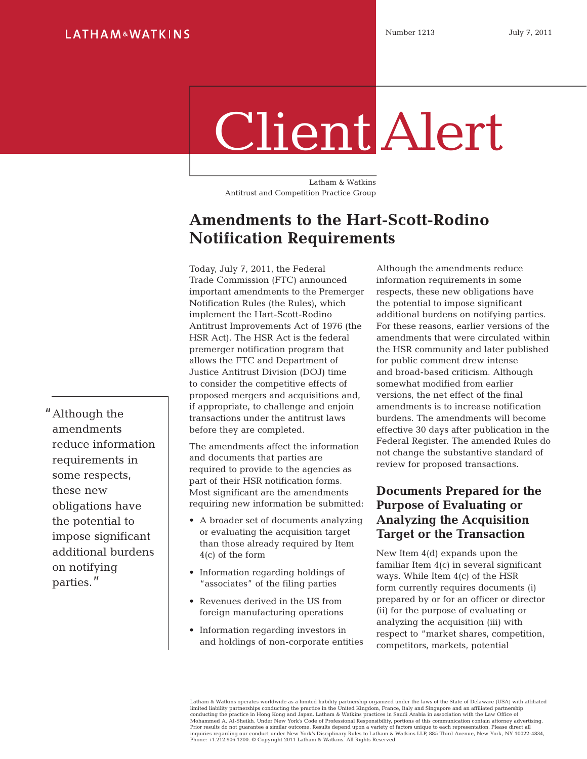#### **LATHAM&WATKINS**

# Client Alert

Latham & Watkins Antitrust and Competition Practice Group

## **Amendments to the Hart-Scott-Rodino Notification Requirements**

Today, July 7, 2011, the Federal Trade Commission (FTC) announced important amendments to the Premerger Notification Rules (the Rules), which implement the Hart-Scott-Rodino Antitrust Improvements Act of 1976 (the HSR Act). The HSR Act is the federal premerger notification program that allows the FTC and Department of Justice Antitrust Division (DOJ) time to consider the competitive effects of proposed mergers and acquisitions and, if appropriate, to challenge and enjoin transactions under the antitrust laws before they are completed.

The amendments affect the information and documents that parties are required to provide to the agencies as part of their HSR notification forms. Most significant are the amendments requiring new information be submitted:

- A broader set of documents analyzing or evaluating the acquisition target than those already required by Item 4(c) of the form
- Information regarding holdings of "associates" of the filing parties
- Revenues derived in the US from foreign manufacturing operations
- Information regarding investors in and holdings of non-corporate entities

Although the amendments reduce information requirements in some respects, these new obligations have the potential to impose significant additional burdens on notifying parties. For these reasons, earlier versions of the amendments that were circulated within the HSR community and later published for public comment drew intense and broad-based criticism. Although somewhat modified from earlier versions, the net effect of the final amendments is to increase notification burdens. The amendments will become effective 30 days after publication in the Federal Register. The amended Rules do not change the substantive standard of review for proposed transactions.

### **Documents Prepared for the Purpose of Evaluating or Analyzing the Acquisition Target or the Transaction**

New Item 4(d) expands upon the familiar Item 4(c) in several significant ways. While Item 4(c) of the HSR form currently requires documents (i) prepared by or for an officer or director (ii) for the purpose of evaluating or analyzing the acquisition (iii) with respect to "market shares, competition, competitors, markets, potential

Latham & Watkins operates worldwide as a limited liability partnership organized under the laws of the State of Delaware (USA) with affiliated<br>limited liability partnerships conducting the practice in the United Kingdom, F conducting the practice in Hong Kong and Japan. Latham & Watkins practices in Saudi Arabia in association with the Law Office of<br>Mohammed A. Al-Sheikh. Under New York's Code of Professional Responsibility, portions of this Prior results do not guarantee a similar outcome. Results depend upon a variety of factors unique to each representation. Please direct all inquiries regarding our conduct under New York's Disciplinary Rules to Latham & Watkins LLP, 885 Third Avenue, New York, NY 10022-4834, Phone: +1.212.906.1200. © Copyright 2011 Latham & Watkins. All Rights Reserved.

"Although the amendments reduce information requirements in some respects, these new obligations have the potential to impose significant additional burdens on notifying parties."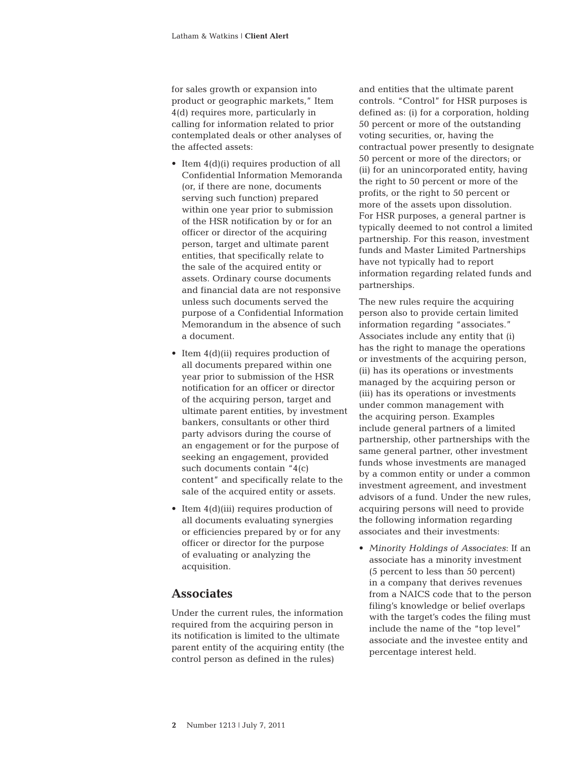for sales growth or expansion into product or geographic markets," Item 4(d) requires more, particularly in calling for information related to prior contemplated deals or other analyses of the affected assets:

- Item 4(d)(i) requires production of all Confidential Information Memoranda (or, if there are none, documents serving such function) prepared within one year prior to submission of the HSR notification by or for an officer or director of the acquiring person, target and ultimate parent entities, that specifically relate to the sale of the acquired entity or assets. Ordinary course documents and financial data are not responsive unless such documents served the purpose of a Confidential Information Memorandum in the absence of such a document.
- Item  $4(d)(ii)$  requires production of all documents prepared within one year prior to submission of the HSR notification for an officer or director of the acquiring person, target and ultimate parent entities, by investment bankers, consultants or other third party advisors during the course of an engagement or for the purpose of seeking an engagement, provided such documents contain "4(c) content" and specifically relate to the sale of the acquired entity or assets.
- Item  $4(d)(iii)$  requires production of all documents evaluating synergies or efficiencies prepared by or for any officer or director for the purpose of evaluating or analyzing the acquisition.

#### **Associates**

Under the current rules, the information required from the acquiring person in its notification is limited to the ultimate parent entity of the acquiring entity (the control person as defined in the rules)

and entities that the ultimate parent controls. "Control" for HSR purposes is defined as: (i) for a corporation, holding 50 percent or more of the outstanding voting securities, or, having the contractual power presently to designate 50 percent or more of the directors; or (ii) for an unincorporated entity, having the right to 50 percent or more of the profits, or the right to 50 percent or more of the assets upon dissolution. For HSR purposes, a general partner is typically deemed to not control a limited partnership. For this reason, investment funds and Master Limited Partnerships have not typically had to report information regarding related funds and partnerships.

The new rules require the acquiring person also to provide certain limited information regarding "associates." Associates include any entity that (i) has the right to manage the operations or investments of the acquiring person, (ii) has its operations or investments managed by the acquiring person or (iii) has its operations or investments under common management with the acquiring person. Examples include general partners of a limited partnership, other partnerships with the same general partner, other investment funds whose investments are managed by a common entity or under a common investment agreement, and investment advisors of a fund. Under the new rules, acquiring persons will need to provide the following information regarding associates and their investments:

• *Minority Holdings of Associates*: If an associate has a minority investment (5 percent to less than 50 percent) in a company that derives revenues from a NAICS code that to the person filing's knowledge or belief overlaps with the target's codes the filing must include the name of the "top level" associate and the investee entity and percentage interest held.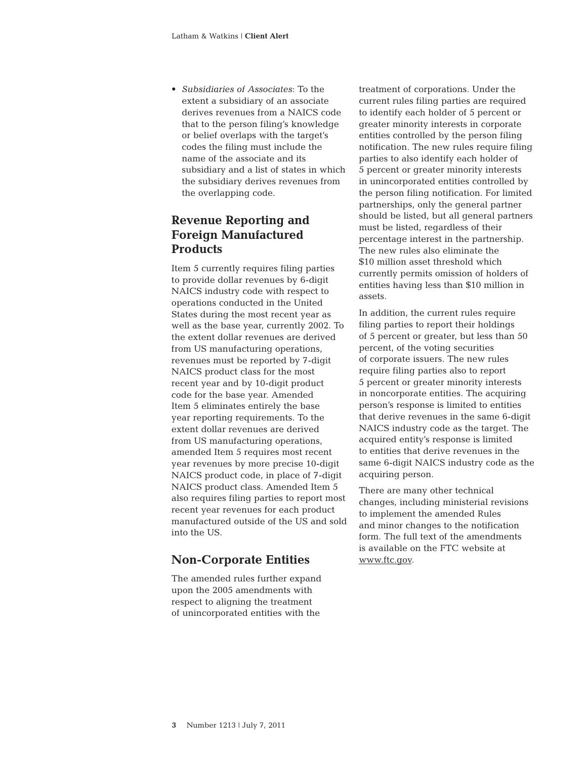• *Subsidiaries of Associates*: To the extent a subsidiary of an associate derives revenues from a NAICS code that to the person filing's knowledge or belief overlaps with the target's codes the filing must include the name of the associate and its subsidiary and a list of states in which the subsidiary derives revenues from the overlapping code.

#### **Revenue Reporting and Foreign Manufactured Products**

Item 5 currently requires filing parties to provide dollar revenues by 6-digit NAICS industry code with respect to operations conducted in the United States during the most recent year as well as the base year, currently 2002. To the extent dollar revenues are derived from US manufacturing operations, revenues must be reported by 7-digit NAICS product class for the most recent year and by 10-digit product code for the base year. Amended Item 5 eliminates entirely the base year reporting requirements. To the extent dollar revenues are derived from US manufacturing operations, amended Item 5 requires most recent year revenues by more precise 10-digit NAICS product code, in place of 7-digit NAICS product class. Amended Item 5 also requires filing parties to report most recent year revenues for each product manufactured outside of the US and sold into the US.

#### **Non-Corporate Entities**

The amended rules further expand upon the 2005 amendments with respect to aligning the treatment of unincorporated entities with the

treatment of corporations. Under the current rules filing parties are required to identify each holder of 5 percent or greater minority interests in corporate entities controlled by the person filing notification. The new rules require filing parties to also identify each holder of 5 percent or greater minority interests in unincorporated entities controlled by the person filing notification. For limited partnerships, only the general partner should be listed, but all general partners must be listed, regardless of their percentage interest in the partnership. The new rules also eliminate the \$10 million asset threshold which currently permits omission of holders of entities having less than \$10 million in assets.

In addition, the current rules require filing parties to report their holdings of 5 percent or greater, but less than 50 percent, of the voting securities of corporate issuers. The new rules require filing parties also to report 5 percent or greater minority interests in noncorporate entities. The acquiring person's response is limited to entities that derive revenues in the same 6-digit NAICS industry code as the target. The acquired entity's response is limited to entities that derive revenues in the same 6-digit NAICS industry code as the acquiring person.

There are many other technical changes, including ministerial revisions to implement the amended Rules and minor changes to the notification form. The full text of the amendments is available on the FTC website at [www.ftc.gov](http://www.ftc.gov).